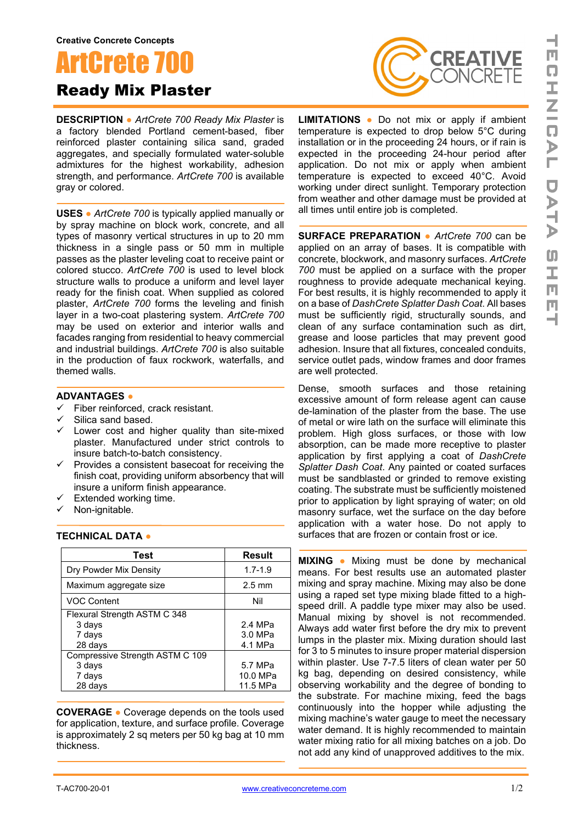

**DESCRIPTION ●** *ArtCrete 700 Ready Mix Plaster* is a factory blended Portland cement-based, fiber reinforced plaster containing silica sand, graded aggregates, and specially formulated water-soluble admixtures for the highest workability, adhesion strength, and performance. *ArtCrete 700* is available gray or colored.

**USES ●** *ArtCrete 700* is typically applied manually or by spray machine on block work, concrete, and all types of masonry vertical structures in up to 20 mm thickness in a single pass or 50 mm in multiple passes as the plaster leveling coat to receive paint or colored stucco. *ArtCrete 700* is used to level block structure walls to produce a uniform and level layer ready for the finish coat. When supplied as colored plaster, *ArtCrete 700* forms the leveling and finish layer in a two-coat plastering system. *ArtCrete 700* may be used on exterior and interior walls and facades ranging from residential to heavy commercial and industrial buildings. *ArtCrete 700* is also suitable in the production of faux rockwork, waterfalls, and themed walls.

## **ADVANTAGES ●**

- $\checkmark$  Fiber reinforced, crack resistant.<br> $\checkmark$  Silica sand based
- Silica sand based.
- $\checkmark$  Lower cost and higher quality than site-mixed plaster. Manufactured under strict controls to insure batch-to-batch consistency.
- $\checkmark$  Provides a consistent basecoat for receiving the finish coat, providing uniform absorbency that will insure a uniform finish appearance.
- $\checkmark$  Extended working time.<br> $\checkmark$  Non-ianitable.
- Non-ignitable.

## **TECHNICAL DATA ●**

| Test                            | <b>Result</b>    |
|---------------------------------|------------------|
| Dry Powder Mix Density          | $1.7 - 1.9$      |
| Maximum aggregate size          | $2.5 \text{ mm}$ |
| <b>VOC Content</b>              | Nil              |
| Flexural Strength ASTM C 348    |                  |
| 3 days                          | 2.4 MPa          |
| 7 days                          | 3.0 MPa          |
| 28 days                         | 4.1 MPa          |
| Compressive Strength ASTM C 109 |                  |
| 3 days                          | 5.7 MPa          |
| 7 days                          | 10.0 MPa         |
| 28 days                         | 11.5 MPa         |

**COVERAGE ●** Coverage depends on the tools used for application, texture, and surface profile. Coverage is approximately 2 sq meters per 50 kg bag at 10 mm thickness.



**LIMITATIONS ●** Do not mix or apply if ambient temperature is expected to drop below 5°C during installation or in the proceeding 24 hours, or if rain is expected in the proceeding 24-hour period after application. Do not mix or apply when ambient temperature is expected to exceed 40°C. Avoid working under direct sunlight. Temporary protection from weather and other damage must be provided at all times until entire job is completed.

**SURFACE PREPARATION ●** *ArtCrete 700* can be applied on an array of bases. It is compatible with concrete, blockwork, and masonry surfaces. *ArtCrete 700* must be applied on a surface with the proper roughness to provide adequate mechanical keying. For best results, it is highly recommended to apply it on a base of *DashCrete Splatter Dash Coat*. All bases must be sufficiently rigid, structurally sounds, and clean of any surface contamination such as dirt, grease and loose particles that may prevent good adhesion. Insure that all fixtures, concealed conduits, service outlet pads, window frames and door frames are well protected.

Dense, smooth surfaces and those retaining excessive amount of form release agent can cause de-lamination of the plaster from the base. The use of metal or wire lath on the surface will eliminate this problem. High gloss surfaces, or those with low absorption, can be made more receptive to plaster application by first applying a coat of *DashCrete Splatter Dash Coat*. Any painted or coated surfaces must be sandblasted or grinded to remove existing coating. The substrate must be sufficiently moistened prior to application by light spraying of water; on old masonry surface, wet the surface on the day before application with a water hose. Do not apply to surfaces that are frozen or contain frost or ice.

**MIXING ●** Mixing must be done by mechanical means. For best results use an automated plaster mixing and spray machine. Mixing may also be done using a raped set type mixing blade fitted to a highspeed drill. A paddle type mixer may also be used. Manual mixing by shovel is not recommended. Always add water first before the dry mix to prevent lumps in the plaster mix. Mixing duration should last for 3 to 5 minutes to insure proper material dispersion within plaster. Use 7-7.5 liters of clean water per 50 kg bag, depending on desired consistency, while observing workability and the degree of bonding to the substrate. For machine mixing, feed the bags continuously into the hopper while adjusting the mixing machine's water gauge to meet the necessary water demand. It is highly recommended to maintain water mixing ratio for all mixing batches on a job. Do not add any kind of unapproved additives to the mix.